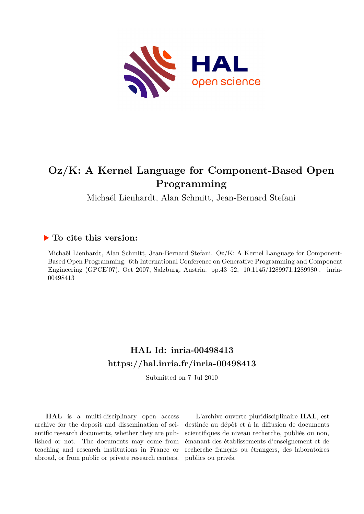

# **Oz/K: A Kernel Language for Component-Based Open Programming**

Michaël Lienhardt, Alan Schmitt, Jean-Bernard Stefani

# **To cite this version:**

Michaël Lienhardt, Alan Schmitt, Jean-Bernard Stefani. Oz/K: A Kernel Language for Component-Based Open Programming. 6th International Conference on Generative Programming and Component Engineering (GPCE'07), Oct 2007, Salzburg, Austria. pp.43-52, 10.1145/1289971.1289980. inria-00498413

# **HAL Id: inria-00498413 <https://hal.inria.fr/inria-00498413>**

Submitted on 7 Jul 2010

**HAL** is a multi-disciplinary open access archive for the deposit and dissemination of scientific research documents, whether they are published or not. The documents may come from teaching and research institutions in France or abroad, or from public or private research centers.

L'archive ouverte pluridisciplinaire **HAL**, est destinée au dépôt et à la diffusion de documents scientifiques de niveau recherche, publiés ou non, émanant des établissements d'enseignement et de recherche français ou étrangers, des laboratoires publics ou privés.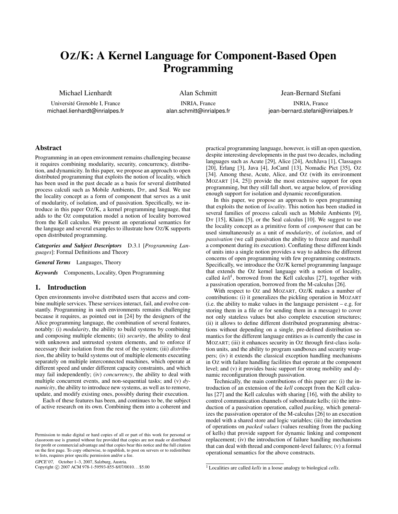# OZ/K: A Kernel Language for Component-Based Open Programming

Michael Lienhardt

Université Grenoble I, France michael.lienhardt@inrialpes.fr

Alan Schmitt INRIA, France alan.schmitt@inrialpes.fr Jean-Bernard Stefani

INRIA, France jean-bernard.stefani@inrialpes.fr

# Abstract

Programming in an open environment remains challenging because it requires combining modularity, security, concurrency, distribution, and dynamicity. In this paper, we propose an approach to open distributed programming that exploits the notion of locality, which has been used in the past decade as a basis for several distributed process calculi such as Mobile Ambients,  $D\pi$ , and Seal. We use the locality concept as a form of component that serves as a unit of modularity, of isolation, and of passivation. Specifically, we introduce in this paper OZ/K, a kernel programming language, that adds to the OZ computation model a notion of locality borrowed from the Kell calculus. We present an operational semantics for the language and several examples to illustrate how OZ/K supports open distributed programming.

*Categories and Subject Descriptors* D.3.1 [*Programming Languages*]: Formal Definitions and Theory

*General Terms* Languages, Theory

*Keywords* Components, Locality, Open Programming

#### 1. Introduction

Open environments involve distributed users that access and combine multiple services. These services interact, fail, and evolve constantly. Programming in such environments remains challenging because it requires, as pointed out in [24] by the designers of the Alice programming language, the combination of several features, notably: (i) *modularity*, the ability to build systems by combining and composing multiple elements; (ii) *security*, the ability to deal with unknown and untrusted system elements, and to enforce if necessary their isolation from the rest of the system; (iii) *distribution*, the ability to build systems out of multiple elements executing separately on multiple interconnected machines, which operate at different speed and under different capacity constraints, and which may fail independently; (iv) *concurrency*, the ability to deal with multiple concurrent events, and non-sequential tasks; and (v) *dynamicity*, the ability to introduce new systems, as well as to remove, update, and modify existing ones, possibly during their execution.

Each of these features has been, and continues to be, the subject of active research on its own. Combining them into a coherent and

GPCE'07, October 1–3, 2007, Salzburg, Austria.

Copyright © 2007 ACM 978-1-59593-855-8/07/0010... \$5.00

practical programming language, however, is still an open question, despite interesting developments in the past two decades, including languages such as Acute [29], Alice [24], ArchJava [1], Classages [20], Erlang [3], Java [4], JoCaml [13], Nomadic Pict [35], OZ [34]. Among these, Acute, Alice, and Oz (with its environment MOZART [14, 25]) provide the most extensive support for open programming, but they still fall short, we argue below, of providing enough support for isolation and dynamic reconfiguration.

In this paper, we propose an approach to open programming that exploits the notion of *locality*. This notion has been studied in several families of process calculi such as Mobile Ambients [9],  $D\pi$  [15], Klaim [5], or the Seal calculus [10]. We suggest to use the locality concept as a primitive form of *component* that can be used simultaneously as a unit of *modularity*, of *isolation*, and of *passivation* (we call passivation the ability to freeze and marshall a component during its execution). Conflating these different kinds of units into a single notion provides a way to address the different concerns of open programming with few programming constructs. Specifically, we introduce the OZ/K kernel programming language that extends the OZ kernel language with a notion of locality, called kell<sup>1</sup>, borrowed from the Kell calculus [27], together with a passivation operation, borrowed from the M-calculus [26].

With respect to OZ and MOZART, OZ/K makes a number of contributions: (i) it generalizes the pickling operation in MOZART (i.e. the ability to make values in the language persistent  $-e.g.$  for storing them in a file or for sending them in a message) to cover not only stateless values but also complete execution structures; (ii) it allows to define different distributed programming abstractions without depending on a single, pre-defined distribution semantics for the different language entities as is currently the case in MOZART; (iii) it enhances security in Oz through first-class isolation units, and the ability to program sandboxes and security wrappers; (iv) it extends the classical exception handling mechanisms in OZ with failure handling facilities that operate at the component level; and (v) it provides basic support for strong mobility and dynamic reconfiguration through passivation.

Technically, the main contributions of this paper are: (i) the introduction of an extension of the *kell* concept from the Kell calculus [27] and the Kell calculus with sharing [16], with the ability to control communication channels of subordinate kells; (ii) the introduction of a passivation operation, called *packing*, which generalizes the passivation operator of the M-calculus [26] to an execution model with a shared store and logic variables; (iii) the introduction of operations on *packed values* (values resulting from the packing of kells) that provide support for dynamic linking and component replacement; (iv) the introduction of failure handling mechanisms that can deal with thread and component-level failures; (v) a formal operational semantics for the above constructs.

Permission to make digital or hard copies of all or part of this work for personal or classroom use is granted without fee provided that copies are not made or distributed for profit or commercial advantage and that copies bear this notice and the full citation on the first page. To copy otherwise, to republish, to post on servers or to redistribute to lists, requires prior specific permission and/or a fee.

<sup>1</sup> Localities are called *kells* in a loose analogy to biological *cells*.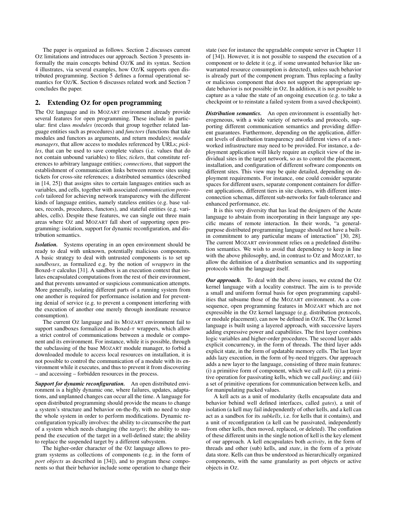The paper is organized as follows. Section 2 discusses current OZ limitations and introduces our approach. Section 3 presents informally the main concepts behind OZ/K and its syntax. Section 4 illustrates, via several examples, how OZ/K supports open distributed programming. Section 5 defines a formal operational semantics for OZ/K. Section 6 discusses related work and Section 7 concludes the paper.

# 2. Extending OZ for open programming

The OZ language and its MOZART environment already provide several features for open programming. These include in particular: first class *modules* (records that group together related language entities such as procedures) and *functors* (functions that take modules and functors as arguments, and return modules); *module managers*, that allow access to modules referenced by URLs; *pickles*, that can be used to save complete values (i.e. values that do not contain unbound variables) to files; *tickets*, that constitute references to arbitrary language entities; *connections*, that support the establishment of communication links between remote sites using tickets for cross-site references; a distributed semantics (described in [14, 25]) that assigns sites to certain languages entities such as variables, and cells, together with associated *communication protocols* tailored for achieving network transparency with the different kinds of language entities, namely stateless entities (e.g. base values, records, procedures, functors), and stateful entities (e.g. variables, cells). Despite these features, we can single out three main areas where OZ and MOZART fall short of supporting open programming: isolation, support for dynamic reconfiguration, and distribution semantics.

*Isolation.* Systems operating in an open environment should be ready to deal with unknown, potentially malicious components. A basic strategy to deal with untrusted components is to set up *sandboxes*, as formalized e.g. by the notion of *wrappers* in the Boxed- $\pi$  calculus [31]. A sandbox is an execution context that isolates encapsulated computations from the rest of their environment, and that prevents unwanted or suspicious communication attempts. More generally, isolating different parts of a running system from one another is required for performance isolation and for preventing denial of service (e.g. to prevent a component interfering with the execution of another one merely through inordinate resource consumption).

The current OZ language and its MOZART environment fail to support sandboxes formalized as Boxed- $\pi$  wrappers, which allow a strict control of communications between a module or component and its environment. For instance, while it is possible, through the subclassing of the base MOZART module manager, to forbid a downloaded module to access local resources on installation, it is not possible to control the communication of a module with its environment while it executes, and thus to prevent it from discovering – and accessing – forbidden resources in the process.

*Support for dynamic reconfiguration.* An open distributed environment is a highly dynamic one, where failures, updates, adaptations, and unplanned changes can occur all the time. A language for open distributed programming should provide the means to change a system's structure and behavior on-the-fly, with no need to stop the whole system in order to perform modifications. Dynamic reconfiguration typically involves: the ability to circumscribe the part of a system which needs changing (the *target*); the ability to suspend the execution of the target in a well-defined state; the ability to replace the suspended target by a different subsystem.

The higher-order character of the OZ language allows to program systems as collections of components (e.g. in the form of *port objects* as described in [34]), and to program these components so that their behavior include some operation to change their state (see for instance the upgradable compute server in Chapter 11 of [34]). However, it is not possible to suspend the execution of a component or to delete it (e.g. if some unwanted behavior like unwarranted resource consumption is detected), unless such behavior is already part of the component program. Thus replacing a faulty or malicious component that does not support the appropriate update behavior is not possible in OZ. In addition, it is not possible to capture as a value the state of an ongoing execution (e.g. to take a checkpoint or to reinstate a failed system from a saved checkpoint).

*Distribution semantics.* An open environment is essentially heterogeneous, with a wide variety of networks and protocols, supporting different communication semantics and providing different guarantees. Furthermore, depending on the application, different levels of distribution transparency and different views of a networked infrastructure may need to be provided. For instance, a deployment application will likely require an explicit view of the individual sites in the target network, so as to control the placement, installation, and configuration of different software components on different sites. This view may be quite detailed, depending on deployment requirements. For instance, one could consider separate spaces for different users, separate component containers for different applications, different tiers in site clusters, with different interconnection schemas, different sub-networks for fault-tolerance and enhanced performance, etc.

It is this very diversity that has lead the designers of the Acute language to abstain from incorporating in their language any specific means of remote interaction. In their words, "a generalpurpose distributed programming language should not have a builtin commitment to any particular means of interaction" [30, 28]. The current MOZART environment relies on a predefined distribution semantics. We wish to avoid that dependency to keep in line with the above philosophy, and, in contrast to Oz and MOZART, to allow the definition of a distribution semantics and its supporting protocols within the language itself.

*Our approach.* To deal with the above issues, we extend the OZ kernel language with a locality construct. The aim is to provide a small and uniform formal basis for open programming capabilities that subsume those of the MOZART environment. As a consequence, open programming features in MOZART which are not expressible in the OZ kernel language (e.g. distribution protocols, or module placement), can now be defined in OZ/K. The OZ kernel language is built using a layered approach, with successive layers adding expressive power and capabilities. The first layer combines logic variables and higher-order procedures. The second layer adds explicit concurrency, in the form of threads. The third layer adds explicit state, in the form of updatable memory cells. The last layer adds lazy execution, in the form of by-need triggers. Our approach adds a new layer to the language, consisting of three main features: (i) a primitive form of component, which we call *kell*; (ii) a primitive operation for passivating kells, which we call *packing*; and (iii) a set of primitive operations for communication between kells, and for manipulating packed values.

A kell acts as a unit of modularity (kells encapsulate data and behavior behind well defined interfaces, called *gates*), a unit of isolation (a kell may fail independently of other kells, and a kell can act as a sandbox for its *subkells*, i.e. for kells that it contains), and a unit of reconfiguration (a kell can be passivated, independently from other kells, then moved, replaced, or deleted). The conflation of these different units in the single notion of kell is the key element of our approach. A kell encapsulates both *activity*, in the form of threads and other (sub) kells, and *state*, in the form of a private data store. Kells can thus be understood as hierarchically organized components, with the same granularity as port objects or active objects in OZ.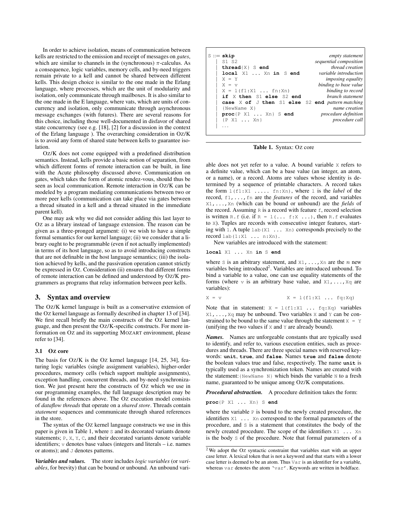In order to achieve isolation, means of communication between kells are restricted to the emission and receipt of messages on *gates*, which are similar to channels in the (synchronous)  $\pi$ -calculus. As a consequence, logic variables, memory cells, and by-need triggers remain private to a kell and cannot be shared between different kells. This design choice is similar to the one made in the Erlang language, where processes, which are the unit of modularity and isolation, only communicate through mailboxes. It is also similar to the one made in the E language, where vats, which are units of concurrency and isolation, only communicate through asynchronous message exchanges (with futures). There are several reasons for this choice, including those well-documented in disfavor of shared state concurrency (see e.g. [18], [2] for a discussion in the context of the Erlang language ). The overarching consideration in OZ/K is to avoid any form of shared state between kells to guarantee isolation.

OZ/K does not come equipped with a predefined distribution semantics. Instead, kells provide a basic notion of separation, from which different forms of remote interaction can be built, in line with the Acute philosophy discussed above. Communication on gates, which takes the form of atomic rendez-vous, should thus be seen as local communication. Remote interaction in OZ/K can be modeled by a program mediating communications between two or more peer kells (communication can take place via gates between a thread situated in a kell and a thread situated in the immediate parent kell).

One may ask why we did not consider adding this last layer to OZ as a library instead of language extension. The reason can be given as a three-pronged argument: (i) we wish to have a simple formal semantics for our kernel language; (ii) we consider that a library ought to be programmable (even if not actually implemented) in terms of its host language, so as to avoid introducing constructs that are not definable in the host language semantics; (iii) the isolation achieved by kells, and the passivation operation cannot strictly be expressed in OZ. Consideration (ii) ensures that different forms of remote interaction can be defined and understood by OZ/K programmers as programs that relay information between peer kells.

#### 3. Syntax and overview

The OZ/K kernel language is built as a conservative extension of the OZ kernel language as formally described in chapter 13 of [34]. We first recall briefly the main constructs of the OZ kernel language, and then present the OZ/K-specific constructs. For more information on OZ and its supporting MOZART environment, please refer to [34].

#### 3.1 OZ core

The basis for Oz/K is the Oz kernel language [14, 25, 34], featuring logic variables (single assignment variables), higher-order procedures, memory cells (which support multiple assignments), exception handling, concurrent threads, and by-need synchronization. We just present here the constructs of OZ which we use in our programming examples, the full language description may be found in the references above. The OZ execution model consists of *dataflow threads* that operate on a *shared store*. Threads contain *statement* sequences and communicate through shared references in the store.

The syntax of the OZ kernel language constructs we use in this paper is given in Table 1, where S and its decorated variants denote statements; P, X, Y, C, and their decorated variants denote variable identifiers; v denotes base values (integers and literals – i.e. names or atoms); and  $J$  denotes patterns.

*Variables and values.* The store includes *logic variables* (or *variables*, for brevity) that can be bound or unbound. An unbound vari-

| $S ::=$ skip                                     | empty statement              |
|--------------------------------------------------|------------------------------|
| S1 S2                                            | sequential composition       |
|                                                  |                              |
| $thread{X}$ S end                                | thread creation              |
| local X1  Xn in S end                            | <i>variable introduction</i> |
| $X = Y$                                          | <i>imposing equality</i>     |
| $X = V$                                          | binding to base value        |
| $X = 1(f1:X1fn:Xn)$                              | binding to record            |
| if X then S1 else S2 end                         | branch statement             |
| case X of J then S1 else S2 end pattern matching |                              |
| {NewName X}                                      | name creation                |
| proc(P X1  Xn) S end                             | <i>procedure definition</i>  |
| $\{P \quad X1 \quad \ldots \quad Xn\}$           | procedure call               |
|                                                  |                              |

Table 1. Syntax: Oz core

able does not yet refer to a value. A bound variable X refers to a definite value, which can be a base value (an integer, an atom, or a name), or a record. Atoms are values whose identity is determined by a sequence of printable characters. A record takes the form l(f1:X1 ..... fn:Xn), where l is the *label* of the record, f1,...,fn are the *features* of the record, and variables X1,...,Xn (which can be bound or unbound) are the *fields* of the record. Assuming  $R$  is a record with feature  $f$ , record selection is written R.f (i.e. if  $R = 1$  (...  $f: X$  ...), then R.f evaluates to X). Tuples are records with consecutive integer features, starting with 1. A tuple lab(X1 ... Xn) corresponds precisely to the  $record$  lab $(1:X1$  ...  $n:Xn$ ).

New variables are introduced with the statement:

#### **local** X1 ... Xn **in** S end

where S is an arbitrary statement, and  $X1, \ldots, Xn$  are the *n* new variables being introduced<sup>2</sup>. Variables are introduced unbound. To bind a variable to a value, one can use equality statements of the forms (where  $\nu$  is an arbitrary base value, and  $X1, \ldots, Xq$  are variables):

$$
X = V \qquad X = l(f1:X1 \ldots fq:Xq)
$$

Note that in statement:  $X = 1(f1:X1 ... fq:Xq)$  variables X1,...,Xq may be unbound. Two variables X and Y can be constrained to be bound to the same value through the statement  $X = Y$ (unifying the two values if X and Y are already bound).

*Names.* Names are unforgeable constants that are typically used to identify, and refer to, various execution entities, such as procedures and threads. There are three special names with reserved keywords: **unit**, **true**, and **false**. Names **true** and **false** denote the boolean values true and false, respectively. The name **unit** is typically used as a synchronization token. Names are created with the statement:{NewName N} which binds the variable N to a fresh name, guaranteed to be unique among OZ/K computations.

*Procedural abstraction.* A procedure definition takes the form:

**proc**{P X1 ... Xn} S **end**

where the variable  $P$  is bound to the newly created procedure, the identifiers  $X1$  ... Xn correspond to the formal parameters of the procedure, and S is a statement that constitutes the body of the newly created procedure. The scope of the identifiers  $X1$  ... Xn is the body S of the procedure. Note that formal parameters of a

<sup>&</sup>lt;sup>2</sup> We adopt the Oz syntactic constraint that variables start with an upper case letter. A lexical token that is not a keyword and that starts with a lower case letter is deemed to be an atom. Thus Var is an identifier for a variable, whereas var denotes the atom 'var'. Keywords are written in boldface.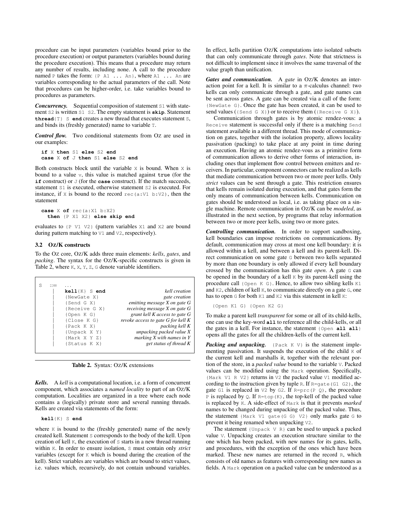procedure can be input parameters (variables bound prior to the procedure execution) or output parameters (variables bound during the procedure execution). This means that a procedure may return any number of results, including none. A call to the procedure named P takes the form: {P A1 ... An}, where A1 ... An are variables corresponding to the actual parameters of the call. Note that procedures can be higher-order, i.e. take variables bound to procedures as parameters.

**Concurrency.** Sequential composition of statement S1 with statement S2 is written S1 S2. The empty statement is **skip**. Statement **thread**{T} S **end** creates a new thread that executes statement S, and binds its (freshly generated) name to variable T.

*Control flow.* Two conditional statements from OZ are used in our examples:

```
if X then S1 else S2 end
case X of J then S1 else S2 end
```
Both constructs block until the variable  $x$  is bound. When  $x$  is bound to a value v, this value is matched against true (for the **if** construct) or J (for the **case** construct). If the match succeeds, statement S1 is executed, otherwise statement S2 is executed. For instance, if X is bound to the record  $rec(a:V1 b:V2)$ , then the statement

```
case X of rec(a:X1 b:X2)
 then {P X1 X2} else skip end
```
evaluates to {P V1 V2} (pattern variables X1 and X2 are bound during pattern matching to V1 and V2, respectively).

#### 3.2 OZ/K constructs

To the OZ core, OZ/K adds three main elements: *kells*, *gates*, and *packing*. The syntax for the OZ/K-specific constructs is given in Table 2, where K, X, Y, Z, G denote variable identifiers.

|                                    |                    | S |
|------------------------------------|--------------------|---|
| kell creation                      | $kell1\{K\}$ S end |   |
| <i>gate creation</i>               | {NewGate X}        |   |
| emitting message X on gate G       | {Send G X}         |   |
| receiving message X on gate G      | {Receive G X}      |   |
| grant kell K access to gate G      | $\{Open K G\}$     |   |
| revoke access to gate G for kell K | {Close K G}        |   |
| packing kell K                     | {Pack K X}         |   |
| unpacking packed value X           | {Unpack X Y}       |   |
| marking $X$ with names in $Y$      | {Mark X Y Z}       |   |
| get status of thread K             | {Status K X}       |   |
|                                    |                    |   |

Table 2. Syntax: OZ/K extensions

*Kells.* A *kell* is a computational location, i.e. a form of concurrent component, which associates a *named locality* to part of an OZ/K computation. Localities are organized in a tree where each node contains a (logically) private store and several running threads. Kells are created via statements of the form:

**kell**{K} S **end**

where K is bound to the (freshly generated) name of the newly created kell. Statement S corresponds to the body of the kell. Upon creation of kell K, the execution of S starts in a new thread running within K. In order to ensure isolation, S must contain only *strict* variables (except for K which is bound during the creation of the kell). Strict variables are variables which are bound to strict values, i.e. values which, recursively, do not contain unbound variables.

In effect, kells partition OZ/K computations into isolated subsets that can only communicate through *gates*. Note that strictness is not difficult to implement since it involves the same traversal of the value graph than unification.

*Gates and communication.* A *gate* in OZ/K denotes an interaction point for a kell. It is similar to a  $\pi$ -calculus channel: two kells can only communicate through a gate, and gate names can be sent across gates. A gate can be created via a call of the form: {NewGate G}. Once the gate has been created, it can be used to send values ( $\{Send G X\}$ ) or to receive them ( $\{Receive G X\}$ ).

Communication through gates is by atomic rendez-vous: a Receive statement is successful only if there is a matching Send statement available in a different thread. This mode of communication on gates, together with the isolation property, allows locality passivation (packing) to take place at any point in time during an execution. Having an atomic rendez-vous as a primitive form of communication allows to derive other forms of interaction, including ones that implement flow control between emitters and receivers. In particular, component connectors can be realized as kells that mediate communication between two or more peer kells. Only *strict* values can be sent through a gate. This restriction ensures that kells remain isolated during execution, and that gates form the only means of communication between kells. Communication on gates should be understood as local, i.e. as taking place on a single machine. Remote communication in OZ/K can be *modeled*, as illustrated in the next section, by programs that relay information between two or more peer kells, using two or more gates.

*Controlling communication.* In order to support sandboxing, kell boundaries can impose restrictions on communications. By default, communication may cross at most one kell boundary: it is allowed within a kell, and between a kell and its parent-kell. Direct communication on some gate G between two kells separated by more than one boundary is only allowed if every kell boundary crossed by the communication has this gate *open*. A gate G can be opened in the boundary of a kell  $\kappa$  by its parent-kell using the procedure call {Open K G}. Hence, to allow two sibling kells K1 and K2, children of kell K, to communicate directly on a gate G, one has to open G for both K1 and K2 via this statement in kell K:

{Open K1 G} {Open K2 G}

To make a parent kell *transparent* for some or all of its child-kells, one can use the key-word **all** to reference all the child-kells, or all the gates in a kell. For instance, the statement {Open **all all**} opens all the gates for all the children-kells of the current kell.

*Packing and unpacking.* {Pack K V} is the statement implementing passivation. It suspends the execution of the child  $\overline{K}$  of the current kell and marshalls it, together with the relevant portion of the store, in a *packed value* bound to the variable V. Packed values can be modified using the Mark operation. Specifically, {Mark V1 R V2} returns in V2 the packed value V1 modified according to the instruction given by tuple R. If  $R = gate(G1 \ G2)$ , the gate G1 is replaced in  $\nabla 2$  by G2. If R=prc(P Q), the procedure P is replaced by Q. If  $R = \text{top}(K)$ , the top-kell of the packed value is replaced by K. A side-effect of Mark is that it prevents *marked* names to be changed during unpacking of the packed value. Thus, the statement {Mark V1 gate(G G) V2} only marks gate G to prevent it being renamed when unpacking V2.

The statement  $\{Unpack \lor R\}$  can be used to unpack a packed value V. Unpacking creates an execution structure similar to the one which has been packed, with new names for its gates, kells, and procedures, with the exception of the ones which have been marked. These new names are returned in the record R, which consists of old names as features with corresponding new names as fields. A Mark operation on a packed value can be understood as a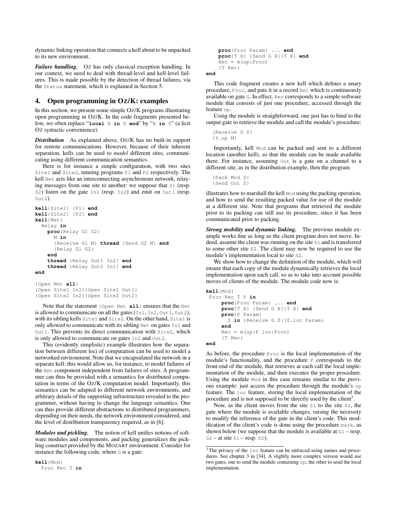dynamic linking operation that connects a kell about to be unpacked to its new environment.

*Failure handling.* Oz has only classical exception handling. In our context, we need to deal with thread-level and kell-level failures. This is made possible by the detection of thread failures, via the Status statement, which is explained in Section 5.

### 4. Open programming in OZ/K: examples

In this section, we present some simple OZ/K programs illustrating open programming in OZ/K. In the code fragments presented below, we often replace "**local** X **in** S **end**" by "X **in** S" (a licit OZ syntactic convenience).

*Distribution* As explained above, OZ/K has no built-in support for remote communications. However, because of their inherent separation, kells can be used to *model* different sites, communicating using different communication semantics.

Here is for instance a simple configuration, with two sites Site1 and Site2, running programs P1 and P2 respectively. The kell Net acts like an interconnecting asynchronous network, relaying messages from one site to another: we suppose that S1 (resp. s2) listen on the gate In1 (resp. In2) and emit on Out1 (resp. Out2).

```
kell{Site1} {P1} end
kell{Site2} {P2} end
kell{Net}
  Relay in
   proc{Relay G1 G2}
     M in
      {Receive G1 M} thread {Send G2 M} end
      {Relay G1 G2}
    end
    thread {Relay Out1 In2} end
    thread {Relay Out2 In1} end
end
```
{Open Net **all**} {Open Site1 In1}{Open Site1 Out1} {Open Site2 In2}{Open Site2 Out2}

Note that the statement {Open Net **all**} ensures that the Net is allowed to communicate on all the gates (In1, In2, Out1, Out2), with its sibling kells Site1 and Site2. On the other hand, Site1 is only allowed to communicate with its sibling Net on gates In1 and Out1. This prevents its direct communication with Site2, which is only allowed to communicate on gates In2 and Out2.

This (evidently simplistic) example illustrates how the separation between different loci of computation can be used to model a networked environment. Note that we encapsulated the network in a separate kell: this would allow us, for instance, to model failures of the Net component independent from failures of sites. A programmer can thus be provided with a semantics for distributed computation in terms of the OZ/K computation model. Importantly, this semantics can be adapted to different network environments, and arbitrary details of the supporting infrastructure revealed to the programmer, without having to change the language semantics. One can thus provide different abstractions to distributed programmers, depending on their needs, the network environment considered, and the level of distribution transparency required, as in [6].

*Modules and pickling.* The notion of kell unifies notions of software modules and components, and packing generalizes the pickling construct provided by the MOZART environment. Consider for instance the following code, where G is a gate:

**kell**{Mod} Proc Rec T **in**

```
proc{Proc Param} ... end
proc{T X} {Send G X}{T X} end
Rec = m(op:Proc){T Rec}
```
**end**

This code fragment creates a new kell which defines a unary procedure, Proc, and puts it in a record Rec which is continuously available on gate G. In effect, Rec corresponds to a simple software module that consists of just one procedure, accessed through the feature op.

Using the module is straightforward, one just has to bind to the output gate to retrieve the module and call the module's procedure:

```
{Receive G Y}
{Y.op M}
```
Importantly, kell Mod can be packed and sent to a different location (another kell), so that the module can be made available there. For instance, assuming Out is a gate on a channel to a different site, as in the distribution example, then the program

```
{Pack Mod Z}
{Send Out Z}
```
illustrates how to marshall the kell Mod using the packing operation, and how to send the resulting packed value for use of the module at a different site. Note that programs that retrieved the module prior to its packing can still use its procedure, since it has been communicated prior to packing.

*Strong mobility and dynamic linking.* The previous module example works fine as long as the client program does not move. Indeed, assume the client was running on the site S1 and is transferred to some other site S2. The client may now be required to use the module's implementation local to site S2.

We show how to change the definition of the module, which will ensure that each copy of the module dynamically retrieves the local implementation upon each call, so as to take into account possible moves of clients of the module. The module code now is:

```
kell{Mod}
 Proc Rec T P in
     proc{Proc Param} ... end
     proc{T X} {Send G X}{T X} end
     proc{P Param}
      Z in {Receive G Z}{Z.loc Param}
     end
     Rec = m(op:P loc:Proc)
     {T Rec}
end
```
As before, the procedure Proc is the local implementation of the module's functionality, and the procedure  $P$  corresponds to the front-end of the module, that retrieves at each call the local implementation of the module, and then executes the proper procedure. Using the module Mod in this case remains similar to the previous example: just access the procedure through the module's op feature. The loc feature, storing the local implementation of the procedure and is not supposed to be directly used by the client<sup>3</sup>.

Now, as the client moves from the site S1 to the site S2, the gate where the module is available changes, raising the necessity to modify the reference of the gate in the client's code. This modification of the client's code is done using the procedure mark, as shown below (we suppose that the module is available at G1 – resp.  $G2 - at site S1 - resp. S2$ :

<sup>&</sup>lt;sup>3</sup> The privacy of the  $\log$  feature can be enforced using names and procedures. See chapter 3 in [34]. A slightly more complex version would use two gates, one to send the module containing op, the other to send the local implementation.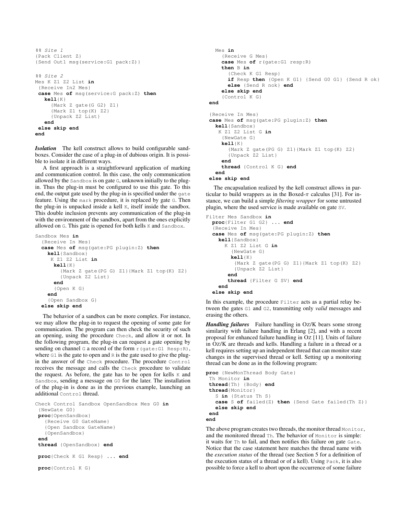```
%% Site 1
{Pack Client Z}
{Send Out1 msg(service:G1 pack:Z)}
%% Site 2
Mes K Z1 Z2 List in
{Receive In2 Mes}
case Mes of msg(service:G pack:Z) then
   kell{K}
     {Mark Z gate(G G2) Z1}
     {Mark Z1 top(K) Z2}
     {Unpack Z2 List}
   end
 else skip end
end
```
*Isolation* The kell construct allows to build configurable sandboxes. Consider the case of a plug-in of dubious origin. It is possible to isolate it in different ways.

A first approach is a straightforward application of marking and communication control. In this case, the only communication allowed by the Sandbox is on gate G, unknown initially to the plugin. Thus the plug-in must be configured to use this gate. To this end, the output gate used by the plug-in is specified under the gate feature. Using the mark procedure, it is replaced by gate G. Then the plug-in is unpacked inside a kell K, itself inside the sandbox. This double inclusion prevents any communication of the plug-in with the environment of the sandbox, apart from the ones explicitly allowed on G. This gate is opened for both kells K and Sandbox.

```
Sandbox Mes in
  {Receive In Mes}
  case Mes of msg(gate:PG plugin:Z) then
    kell{Sandbox}
     K Z1 Z2 List in
      kell{K}
        {Mark Z gate(PG G) Z1}{Mark Z1 top(K) Z2}
        {Unpack Z2 List}
      end
      {Open K G}
    end
    {Open Sandbox G}
  else skip end
```
The behavior of a sandbox can be more complex. For instance, we may allow the plug-in to request the opening of some gate for communication. The program can then check the security of such an opening, using the procedure Check, and allow it or not. In the following program, the plug-in can request a gate opening by sending on channel G a record of the form r (gate:G1 Resp:R), where  $G1$  is the gate to open and  $R$  is the gate used to give the plugin the answer of the Check procedure. The procedure Control receives the message and calls the Check procedure to validate the request. As before, the gate has to be open for kells K and Sandbox, sending a message on G0 for the later. The installation of the plug-in is done as in the previous example, launching an additional Control thread.

```
Check Control Sandbox OpenSandbox Mes G0 in
{NewGate G0}
proc{OpenSandbox}
   {Receive G0 GateName}
   {Open Sandbox GateName}
   {OpenSandbox}
 end
 thread {OpenSandbox} end
proc{Check K G1 Resp} ... end
proc{Control K G}
```

```
Mes in
    {Receive G Mes}
    case Mes of r(gate:G1 resp:R)
    then B in
      {Check K G1 Resp}
      if Resp then {Open K G1} {Send G0 G1} {Send R ok}
     else {Send R nok} end
    else skip end
    {Control K G}
end
{Receive In Mes}
case Mes of msg(gate:PG plugin:Z) then
 kell{Sandbox}
   K Z1 Z2 List G in
    {NewGate G}
    kell{K}
      {Mark Z gate(PG G) Z1}{Mark Z1 top(K) Z2}
      {Unpack Z2 List}
    end
    thread {Control K G} end
 end
```

```
else skip end
```
The encapsulation realized by the kell construct allows in particular to build wrappers as in the Boxed- $\pi$  calculus [31]. For instance, we can build a simple *filtering wrapper* for some untrusted plugin, where the used service is made available on gate SV.

```
Filter Mes Sandbox in
 proc{Filter G1 G2} ... end
  {Receive In Mes}
 case Mes of msg(gate:PG plugin:Z) then
   kell{Sandbox}
     K Z1 Z2 List G in
        {NewGate G}
        kell{K}
         {Mark Z gate(PG G) Z1}{Mark Z1 top(K) Z2}
         {Unpack Z2 List}
       end
       thread {Filter G SV} end
    end
  else skip end
```
In this example, the procedure Filter acts as a partial relay between the gates G1 and G2, transmitting only *valid* messages and erasing the others.

*Handling failures* Failure handling in OZ/K bears some strong similarity with failure handling in Erlang [2], and with a recent proposal for enhanced failure handling in OZ [11]. Units of failure in OZ/K are threads and kells. Handling a failure in a thread or a kell requires setting up an independent thread that can monitor state changes in the supervised thread or kell. Setting up a monitoring thread can be done as in the following program:

```
proc {NewMonThread Body Gate}
 Th Monitor in
thread{Th} {Body} end
 thread{Monitor}
   S in {Status Th S}
   case S of failed(Z) then {Send Gate failed(Th Z)}
   else skip end
 end
end
```
The above program creates two threads, the monitor thread Monitor, and the monitored thread Th. The behavior of Monitor is simple: it waits for Th to fail, and then notifies this failure on gate Gate. Notice that the case statement here matches the thread name with the *execution status* of the thread (see Section 5 for a definition of the execution status of a thread or of a kell). Using Pack, it is also possible to force a kell to abort upon the occurrence of some failure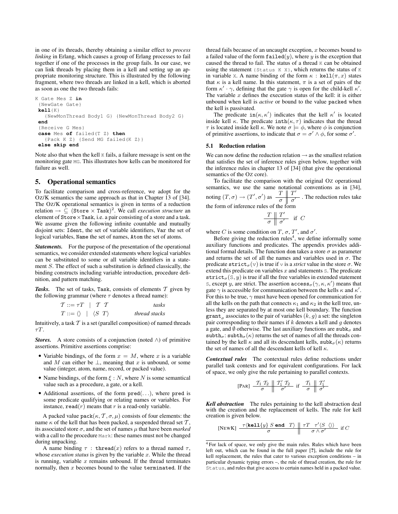in one of its threads, thereby obtaining a similar effect to *process linking* in Erlang, which causes a group of Erlang processes to fail together if one of the processes in the group fails. In our case, we can link threads by placing them in a kell and setting up an appropriate monitoring structure. This is illustrated by the following fragment, where two threads are linked in a kell, which is aborted as soon as one the two threads fails:

```
K Gate Mes Z in
 {NewGate Gate}
kell{K}
   {NewMonThread Body1 G} {NewMonThread Body2 G}
 end
 {Receive G Mes}
 case Mes of failed(T Z) then
   {Pack K Z} {Send MG failed(K Z)}
 else skip end
```
Note also that when the kell K fails, a failure message is sent on the monitoring gate MG. This illustrates how kells can be monitored for failure as well.

### 5. Operational semantics

To facilitate comparison and cross-reference, we adopt for the OZ/K semantics the same approach as that in Chapter 13 of [34]. The OZ/K operational semantics is given in terms of a reduction relation  $\rightarrow \subseteq$  (Store  $\times$  Task)<sup>2</sup>. We call *execution structure* an element of  $Store \times Task$ , i.e. a pair consisting of a store and a task. We assume given the following infinite countable and mutually disjoint sets: Ident, the set of variable identifiers, Var the set of logical variables, Name the set of names, Atom the set of atoms.

*Statements.* For the purpose of the presentation of the operational semantics, we consider extended statements where logical variables can be substituted to some or all variable identifiers in a statement S. The effect of such a substitution is defined classically, the binding constructs including variable introduction, procedure definition, and pattern matching.

Tasks. The set of tasks, Task, consists of elements  $T$  given by the following grammar (where  $\tau$  denotes a thread name):

| $\mathcal{T} ::= \tau T \mid \mathcal{T} \mathcal{T}$ | tasks         |
|-------------------------------------------------------|---------------|
| $T ::= \langle \rangle   \langle S   T \rangle$       | thread stacks |

Intuitively, a task  $T$  is a set (parallel composition) of named threads  $\tau T$ 

*Stores.* A store consists of a conjunction (noted  $\wedge$ ) of primitive assertions. Primitive assertions comprise:

- Variable bindings, of the form  $x = M$ , where x is a variable and M can either be  $\perp$ , meaning that x is unbound, or some value (integer, atom, name, record, or packed value).
- Name bindings, of the form  $\xi : N$ , where N is some semantical value such as a procedure, a gate, or a kell.
- $\bullet$  Additional assertions, of the form  $pred(...)$ , where pred is some predicate qualifying or relating names or variables. For instance,  $\texttt{read}(r)$  means that r is a read-only variable.

A packed value pack $(\kappa, \mathcal{T}, \sigma, \mu)$  consists of four elements: the name  $\kappa$  of the kell that has been packed, a suspended thread set  $\mathcal{T}$ , its associated store  $\sigma$ , and the set of names  $\mu$  that have been *marked* with a call to the procedure Mark: these names must not be changed during unpacking.

A name binding  $\tau$ : thread(x) refers to a thread named  $\tau$ , whose *execution status* is given by the variable x. While the thread is running, variable  $x$  remains unbound. If the thread terminates normally, then  $x$  becomes bound to the value terminated. If the thread fails because of an uncaught exception,  $x$  becomes bound to a failed value of the form  $\texttt{failed}(y)$ , where y is the exception that caused the thread to fail. The status of a thread K can be obtained using the statement {Status K X}, which returns the status of K in variable x. A name binding of the form  $\kappa$ : kell $(\pi, x)$  states that  $\kappa$  is a kell name. In this statement,  $\pi$  is a set of pairs of the form  $\kappa' \cdot \gamma$ , defining that the gate  $\gamma$  is open for the child-kell  $\kappa'$ . The variable  $x$  defines the execution status of the kell: it is either unbound when kell is *active* or bound to the value packed when the kell is passivated.

The predicate  $in(\kappa, \kappa')$  indicates that the kell  $\kappa'$  is located inside kell  $\kappa$ . The predicate  $\text{inth}(\kappa, \tau)$  indicates that the thread  $\tau$  is located inside kell  $\kappa$ . We note  $\sigma \models \phi$ , where  $\phi$  is conjunction of primitive assertions, to indicate that  $\sigma = \sigma' \wedge \phi$ , for some  $\sigma'$ .

#### 5.1 Reduction relation

We can now define the reduction relation  $\rightarrow$  as the smallest relation that satisfies the set of inference rules given below, together with the inference rules in chapter 13 of [34] (that give the operational semantics of the OZ core).

To facilitate the comparison with the original OZ operational semantics, we use the same notational conventions as in [34], noting  $(T, \sigma) \rightarrow (T', \sigma')$  as  $\frac{T \parallel T'}{T}$  $\frac{1}{\sigma}$   $\frac{1}{\sigma'}$ . The reduction rules take the form of inference rules of the form

$$
\begin{array}{c|cc}\nT & T' & \text{if } C \\
\hline\n\sigma & \sigma'\n\end{array}
$$

where C is some condition on T,  $\sigma$ , T', and  $\sigma'$ .

Before giving the reduction rules<sup>4</sup>, we define informally some auxiliary functions and predicates. The appendix provides additional formal details. The function dom takes a store  $\sigma$  as parameter and returns the set of all the names and variables used in  $\sigma$ . The predicate  $\text{strict}_{\sigma}(v)$  is true if v is a *strict* value in the store  $\sigma$ . We extend this predicate on variables  $x$  and statements  $s$ . The predicate strict<sub> $\sigma$ </sub>(S, y) is true if all the free variables in extended statement s, except y, are strict. The assertion  $\operatorname{access}_{\sigma}(\gamma, \kappa, \kappa')$  means that gate  $\gamma$  is accessible for communication between the kells  $\kappa$  and  $\kappa'$ . For this to be true,  $\gamma$  must have been opened for communication for all the kells on the path that connects  $\kappa_1$  and  $\kappa_2$  in the kell tree, unless they are separated by at most one kell boundary. The function  $\texttt{grant}_{\sigma}$  associates to the pair of variables  $(k, g)$  a set: the singleton pair corresponding to their names if  $k$  denotes a kell and  $g$  denotes a gate, and  $\emptyset$  otherwise. The last auxiliary functions are subk<sub> $\sigma$ </sub> and  $\texttt{subth}_{\sigma}$ :  $\texttt{subth}_{\sigma}(\kappa)$  returns the set of names of all the threads contained by the kell  $\kappa$  and all its descendant kells,  $\text{subk}_{\sigma}(\kappa)$  returns the set of names of all the descendant kells of kell  $\kappa$ .

*Contextual rules* The contextual rules define reductions under parallel task contexts and for equivalent configurations. For lack of space, we only give the rule pertaining to parallel contexts.

$$
[\text{PAR}] \begin{array}{c||c|c} T_1 & T_2 & T_1' & T_2 \\ \hline \sigma & \sigma' & \sigma' \end{array} \text{ if } \begin{array}{c||c} T_1 & T_1' & T_2' \\ \hline \sigma & \sigma' & \sigma' \end{array}
$$

*Kell abstraction* The rules pertaining to the kell abstraction deal with the creation and the replacement of kells. The rule for kell creation is given below.

$$
\text{[NEWK]} \xrightarrow{\tau \text{(\textbf{kel1}\{y\} \ S \ \textbf{end} \ T\}} \xrightarrow{\tau \ \text{d} \ \tau \ \text{d} \ \text{d} \ \text{d} \ \text{d} \ \text{d} \ \text{d} \ \text{d} \ \text{d} \ \text{d} \ \text{d} \ \text{d} \ \text{d} \ \text{d} \ \text{d} \ \text{d} \ \text{d} \ \text{d} \ \text{d} \ \text{d} \ \text{d} \ \text{d} \ \text{d} \ \text{d} \ \text{d} \ \text{d} \ \text{d} \ \text{d} \ \text{d} \ \text{d} \ \text{d} \ \text{d} \ \text{d} \ \text{d} \ \text{d} \ \text{d} \ \text{d} \ \text{d} \ \text{d} \ \text{d} \ \text{d} \ \text{d} \ \text{d} \ \text{d} \ \text{d} \ \text{d} \ \text{d} \ \text{d} \ \text{d} \ \text{d} \ \text{d} \ \text{d} \ \text{d} \ \text{d} \ \text{d} \ \text{d} \ \text{d} \ \text{d} \ \text{d} \ \text{d} \ \text{d} \ \text{d} \ \text{d} \ \text{d} \ \text{d} \ \text{d} \ \text{d} \ \text{d} \ \text{d} \ \text{d} \ \text{d} \ \text{d} \ \text{d} \ \text{d} \ \text{d} \ \text{d} \ \text{d} \ \text{d} \ \text{d} \ \text{d} \ \text{d} \ \text{d} \ \text{d} \ \text{d} \ \text{d} \ \text{d} \ \text{d} \ \text{d} \ \text{d} \ \text{d} \ \text{d} \ \text{d} \ \text{d} \ \text{d} \ \text{d} \ \text{d} \ \text{d} \ \text{d} \ \text{d} \ \text{d} \ \text{d} \ \text{d} \ \text{d} \ \text{d} \ \text{d} \ \text{d} \ \text{d} \ \text{d} \ \text{d} \ \text{d} \ \text{d} \ \text{d} \ \text{d} \ \text{d} \ \text{d} \ \text{d} \ \text{d} \ \text{d} \ \text{d
$$

<sup>&</sup>lt;sup>4</sup> For lack of space, we only give the main rules. Rules which have been left out, which can be found in the full paper [?], include the rule for kell replacement, the rules that cater to various exception conditions – in particular dynamic typing errors –, the rule of thread creation, the rule for Status, and rules that give access to certain names held in a packed value.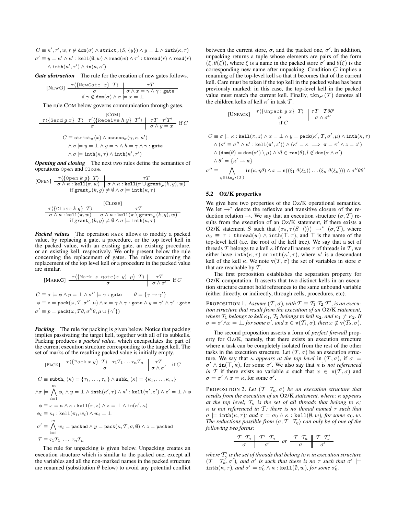$C \equiv \kappa', \tau', w, r \not\in \text{dom}(\sigma) \land \text{strict}_\sigma(S, \{y\}) \land y = \bot \land \text{inth}(\kappa, \tau)$  $\sigma'\equiv y=\kappa'\wedge\kappa':\texttt{kell}(\emptyset,w)\wedge\texttt{read}(w)\wedge\tau':\texttt{thread}(r)\wedge\texttt{read}(r)$  $\wedge \, \text{inth}(\kappa', \tau') \wedge \text{in}(\kappa, \kappa')$ 

*Gate abstraction* The rule for the creation of new gates follows.

[NEWG] 
$$
\frac{\tau(\{\text{NewGate } x\} \ T)}{\sigma} \quad \sigma \land x = \gamma \land \gamma : \text{gate}
$$

$$
\text{if } \gamma \notin \text{dom}(\sigma) \land \sigma = x = \bot
$$

The rule COM below governs communication through gates.

[COM]  
\n
$$
\frac{\tau\langle \{\text{Send } g \ x\} \ T \rangle \ \tau'\langle \{\text{Receive } h \ y\} \ T' \rangle \parallel \tau T \ \tau' T' \ \text{if } C \ \sigma \land y = x \text{ if } C
$$
\n
$$
C \equiv \text{strict}_{\sigma}(x) \land \text{access}_{\sigma}(\gamma, \kappa, \kappa')
$$
\n
$$
\land \sigma \models y = \bot \land g = \gamma \land h = \gamma \land \gamma : \text{gate}
$$
\n
$$
\land \sigma \models \text{inth}(\kappa, \tau) \land \text{inth}(\kappa', \tau')
$$

*Opening and closing* The next two rules define the semantics of operations Open and Close.

[OPEN] 
$$
\frac{\tau\langle \{\text{Open } k \ g\} \ T \rangle}{\sigma \wedge \kappa : \text{kell}(\pi, w) \parallel \sigma \wedge \kappa : \text{kell}(\pi \cup \text{grant}_{\sigma}(k, g), w)}
$$
  
if grant <sub>$\sigma$</sub> (k, g)  $\neq \emptyset \wedge \sigma \models \text{inth}(\kappa, \tau)$ 

$$
\begin{array}{c|c|c} & \texttt{[CLOSE]} & \tau \{\{\texttt{Close }k\ g\}\ T \} & \tau T \\ \hline \sigma \wedge \kappa: \texttt{kell}(\pi, w) & \sigma \wedge \kappa: \texttt{kell}(\pi \setminus \texttt{grant}_{\sigma}(k, g), w) \\ & \text{if } \texttt{grant}_{\sigma}(k, g) \neq \emptyset \wedge \sigma \models \texttt{inth}(\kappa, \tau) \end{array}
$$

*Packed values* The operation Mark allows to modify a packed value, by replacing a gate, a procedure, or the top level kell in the packed value, with an existing gate, an existing procedure, or an existing kell, respectively. We only present below the rule concerning the replacement of gates. The rules concerning the replacement of the top level kell or a procedure in the packed value are similar.

[MARKG] 
$$
\frac{\tau\{\text{Mark } z \text{ gate}(x \ y) \ p\} \ T\} \parallel \tau T}{\sigma} \text{ if } C
$$
  

$$
C \equiv \sigma \models \phi \land p = \bot \land \sigma'' \models \gamma : \text{gate} \qquad \theta = \{\gamma \to \gamma'\}
$$
  

$$
\phi \equiv z = \text{pack}(\omega, T, \sigma'', \mu) \land x = \gamma \land \gamma : \text{gate } \land y = \gamma' \land \gamma' : \text{gate}
$$
  

$$
\sigma' \equiv p = \text{pack}(\omega, T\theta, \sigma''\theta, \mu \cup \{\gamma'\})
$$

*Packing* The rule for packing is given below. Notice that packing implies passivating the target kell, together with all of its subkells. Packing produces a *packed value*, which encapsulates the part of the current execution structure corresponding to the target kell. The set of marks of the resulting packed value is initially empty.

$$
[PACK] \begin{array}{c|c} \tau \langle \{ \text{Pack } x \ y \} \ T \rangle & \tau_1 T_1 \dots \tau_n T_n \parallel & \tau T \\ \hline \sigma & \sigma \end{array} \text{ if } C
$$
\n
$$
C \equiv \text{subth}_{\sigma}(\kappa) = \{\tau_1, \dots, \tau_n\} \wedge \text{subk}_{\sigma}(\kappa) = \{\kappa_1, \dots, \kappa_m\}
$$
\n
$$
\wedge \sigma \models \bigwedge_{i=1}^m \phi_i \wedge y = \bot \wedge \text{inth}(\kappa', \tau) \wedge \kappa' : \text{kell}(\pi', z') \wedge z' = \bot \wedge \phi
$$
\n
$$
\phi \equiv x = \kappa \wedge \kappa : \text{kell}(\pi, z) \wedge z = \bot \wedge \text{in}(\kappa', \kappa)
$$
\n
$$
\phi_i \equiv \kappa_i : \text{kell}(\pi_i, w_i) \wedge w_i = \bot
$$
\n
$$
\sigma' \equiv \bigwedge_{i=1}^m w_i = \text{packed} \wedge y = \text{pack}(\kappa, \mathcal{T}, \sigma, \emptyset) \wedge z = \text{packed}
$$
\n
$$
\mathcal{T} \equiv \tau_1 T_1 \dots \tau_n T_n
$$

The rule for unpacking is given below. Unpacking creates an execution structure which is similar to the packed one, except all the variables and all the non-marked names in the packed structure are renamed (substitution  $\theta$  below) to avoid any potential conflict

between the current store,  $\sigma$ , and the packed one,  $\sigma'$ . In addition, unpacking returns a tuple whose elements are pairs of the form  $(\xi, \theta(\xi))$ , where  $\xi$  is a name in the packed store  $\sigma'$  and  $\theta(\xi)$  is the corresponding new name after unpacking. Condition C implies a renaming of the top-level kell so that it becomes that of the current kell. Care must be taken if the top kell in the packed value has been previously marked: in this case, the top-level kell in the packed value must match the current kell. Finally,  $\tan_{\sigma'}(\mathcal{T})$  denotes all the children kells of kell  $\kappa'$  in task  $\mathcal{T}$ .

$$
\text{[UNPACK]} \begin{array}{c|c|c} \tau \langle \{\text{Unpack } y \ x \} \ T \rangle & \tau \ T \ \hline \sigma & \sigma \end{array}
$$
\n
$$
\begin{array}{c|c|c} \tau \langle \text{[Unpack } y \ x \} \ T \rangle & \tau \end{array}
$$

$$
\begin{aligned} C &\equiv \sigma \models \kappa: \text{kell}(\pi,z) \land x = \bot \land y = \text{pack}(\kappa',T,\sigma',\mu) \land \text{inth}(\kappa,\tau) \\ &\land (\sigma' \equiv \sigma'' \land \kappa': \text{kell}(\pi',z')) \land (\kappa' = \kappa \implies \pi = \pi' \land z = z') \\ &\land (\text{dom}(\theta) = \text{dom}(\sigma') \setminus \mu) \land \forall l \in \text{ran}(\theta), l \not\in \text{dom}(\sigma \land \sigma') \\ &\land \theta' = \{\kappa' \rightarrow \kappa\} \\ &\sigma'' \equiv \bigwedge_{\eta \in \text{thr}_{\sigma'}(\mathcal{T})} \text{in}(\kappa,\eta\theta) \land x = \text{n}((\xi_1 \ \theta(\xi_1)) \dots (\xi_n \ \theta(\xi_n))) \land \sigma''\theta\theta' \end{aligned}
$$

#### 5.2 OZ/K properties

We give here two properties of the OZ/K operational semantics. We let  $\rightarrow^*$  denote the reflexive and transitive closure of the reduction relation  $\rightarrow$ . We say that an execution structure  $(\sigma, \mathcal{T})$  results from the execution of an OZ/K statement, if there exists a OZ/K statement S such that  $(\sigma_0, \tau \langle S \rangle) \rightarrow^* (\sigma, \mathcal{T})$ , where  $\sigma_0 \equiv \tau$ : thread(w)  $\wedge$  inth( $\top$ ,  $\tau$ ), and  $\top$  is the name of the top-level kell (i.e. the root of the kell tree). We say that a set of threads T belongs to a kell  $\kappa$  if for all names  $\tau$  of threads in T, we either have  $\text{inth}(\kappa, \tau)$  or  $\text{inth}(\kappa', \tau)$ , where  $\kappa'$  is a descendant kell of the kell  $\kappa$ . We note  $v(T, \sigma)$  the set of variables in store  $\sigma$ that are reachable by  $T$ .

The first proposition establishes the separation property for OZ/K computation. It asserts that two distinct kells in an execution structure cannot hold references to the same unbound variable (either directly, or indirectly, through cells, procedures, etc).

PROPOSITION 1. *Assume*  $(\mathcal{T}, \sigma)$ *, with*  $\mathcal{T} \equiv \mathcal{T}_1 \mathcal{T}_2 \mathcal{T}'$ *, is an execution structure that result from the execution of an* OZ/K *statement, where*  $T_1$  *belongs to kell*  $\kappa_1$ *,*  $T_2$  *belongs to kell*  $\kappa_2$ *, and*  $\kappa_1 \neq \kappa_2$ *. If*  $\sigma = \sigma' \wedge x = \bot$ , for some  $\sigma'$ , and  $x \in \mathsf{v}(\mathcal{T}_1, \sigma)$ , then  $x \notin \mathsf{v}(\mathcal{T}_2, \sigma)$ .

The second proposition asserts a form of *perfect firewall* property for OZ/K, namely, that there exists an execution structure where a task can be completely isolated from the rest of the other tasks in the execution structure. Let  $(\mathcal{T}, \sigma)$  be an execution structure. We say that  $\kappa$  *appears at the top level* in  $(\mathcal{T}, \sigma)$ , if  $\sigma =$  $\sigma' \wedge \text{in}(\top,\kappa)$ , for some  $\sigma'$ . We also say that  $\kappa$  is *not referenced in* T if there exists no variable x such that  $x \in \nu(T, \sigma)$  and  $\sigma = \sigma' \wedge x = \kappa$ , for some  $\sigma'$ .

PROPOSITION 2. Let  $(T \ T_{\kappa}, \sigma)$  be an execution structure that *results from the execution of an* OZ/K *statement, where:* κ *appears at the top level;*  $T_{\kappa}$  *is the set of all threads that belong to*  $\kappa$ *;* κ *is not referenced in* T *; there is no thread named* τ *such that*  $\sigma \models \texttt{inth}(\kappa, \tau)$ *; and*  $\sigma = \sigma_0 \wedge \kappa$  : kell $(\emptyset, w)$ *, for some*  $\sigma_0, w$ *. The reductions possible from*  $\langle \sigma, T \ T_n \rangle$  *can only be of one of the following two forms:*

$$
\begin{array}{c||c|c|c}\n\hline\n\mathcal{T} & \mathcal{T}_{\kappa} & \mathcal{T}' & \mathcal{T}_{\kappa} \\
\hline\n\sigma & \sigma' & \sigma & \sigma \\
\hline\n\end{array} \quad or \quad \begin{array}{c||c|c|c}\n\mathcal{T} & \mathcal{T}_{\kappa} & \mathcal{T} & \mathcal{T}_{\kappa} \\
\hline\n\sigma & \sigma' & \sigma' \\
\hline\n\end{array}
$$

where  $\mathcal{T}'_\kappa$  is the set of threads that belong to  $\kappa$  in execution structure  $(T \t T_{\kappa}^{\prime\prime}, \sigma^{\prime})$ , and  $\sigma^{\prime}$  is such that there is no  $\tau$  such that  $\sigma^{\prime} \models$  $\int \int_{0}^{R} \int_{0}^{R} f(x, \tau) f(x, \tau) dx \, d\sigma' = \sigma'_0 \wedge \kappa : \text{kerl}(\emptyset, w)$ , for some  $\sigma'_0$ .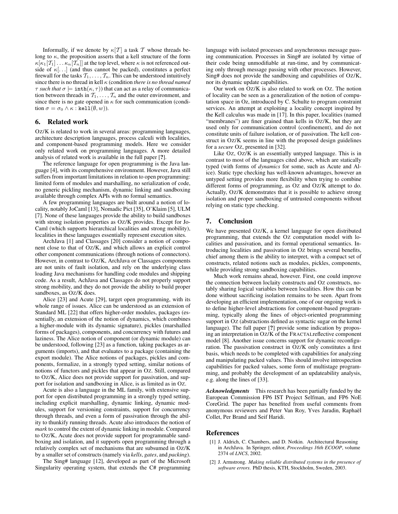Informally, if we denote by  $\kappa[T]$  a task T whose threads belong to  $\kappa$ , the proposition asserts that a kell structure of the form  $\kappa[\kappa_1|\mathcal{T}_1] \dots \kappa_n|\mathcal{T}_n|$  at the top level, where  $\kappa$  is not referenced outside of  $\kappa$ [...] (and thus cannot be packed), constitutes a perfect firewall for the tasks  $\mathcal{T}_1, \ldots, \mathcal{T}_n$ . This can be understood intuitively since there is no thread in kell κ (condition *there is no thread named*  $\tau$  *such that*  $\sigma \models \text{inth}(\kappa, \tau)$  that can act as a relay of communication between threads in  $\mathcal{T}_1, \ldots, \mathcal{T}_n$  and the outer environment, and since there is no gate opened in  $\kappa$  for such communication (condition  $\sigma = \sigma_0 \wedge \kappa : \text{kerl}(\emptyset, w)$ ).

### 6. Related work

OZ/K is related to work in several areas: programming languages, architecture description languages, process calculi with localities, and component-based programming models. Here we consider only related work on programming languages. A more detailed analysis of related work is available in the full paper [?].

The reference language for open programming is the Java language [4], with its comprehensive environment. However, Java still suffers from important limitations in relation to open programming: limited form of modules and marshalling, no serialization of code, no generic pickling mechanism, dynamic linking and sandboxing available through complex APIs with no formal semantics.

A few programming languages are built around a notion of locality, notably JoCaml [13], Nomadic Pict [35], O'Klaim [5], ULM [7]. None of these languages provide the ability to build sandboxes with strong isolation properties as OZ/K provides. Except for Jo-Caml (which supports hierarchical localities and strong mobility), localities in these languages essentially represent execution sites.

ArchJava [1] and Classages [20] consider a notion of component close to that of OZ/K, and which allows an explicit control other component communications (through notions of connectors). However, in contrast to OZ/K, ArchJava or Classages components are not units of fault isolation, and rely on the underlying class loading Java mechanisms for handling code modules and shipping code. As a result, AchJava and Classages do not properly support strong mobility, and they do not provide the ability to build proper sandboxes, as OZ/K does.

Alice [23] and Acute [29], target open programming, with its whole range of issues. Alice can be understood as an extension of Standard ML [22] that offers higher-order modules, packages (essentially, an extension of the notion of dynamics, which combines a higher-module with its dynamic signature), pickles (marshalled forms of packages), components, and concurrency with futures and laziness. The Alice notion of component (or dynamic module) can be understood, following [23] as a function, taking packages as arguments (imports), and that evaluates to a package (containing the export module). The Alice notions of packages, pickles and components, formalize, in a strongly typed setting, similar notions of notions of functors and pickles that appear in OZ. Still, compared to OZ/K, Alice does not provide support for passivation, and support for isolation and sandboxing in Alice, is as limited as in OZ.

Acute is also a language in the ML family, with extensive support for open distributed programming in a strongly typed setting, including explicit marshalling, dynamic linking, dynamic modules, support for versioning constraints, support for concurrency through threads, and even a form of passivation through the ability to thunkify running threads. Acute also introduces the notion of *mark* to control the extent of dynamic linking in module. Compared to OZ/K, Acute does not provide support for programmable sandboxing and isolation, and it supports open programming through a relatively complex set of mechanisms that are subsumed in OZ/K by a smaller set of constructs (namely via *kells*, *gates*, and *packing*).

The Sing# language [12], developed as part of the Microsoft Singularity operating system, that extends the C# programming language with isolated processes and asynchronous message passing communication. Processes in Sing# are isolated by virtue of their code being unmodifiable at run-time, and by communicating only through message passing with other processes. However, Sing# does not provide the sandboxing and capabilities of OZ/K, nor its dynamic update capabilities.

Our work on OZ/K is also related to work on OZ. The notion of locality can be seen as a generalization of the notion of computation space in Oz, introduced by C. Schulte to program constraint services. An attempt at exploiting a locality concept inspired by the Kell calculus was made in [17]. In this paper, localities (named "membranes") are finer grained than kells in OZ/K, but they are used only for communication control (confinement), and do not constitute units of failure isolation, or of passivation. The kell construct in OZ/K seems in line with the proposed design guidelines for a *secure* OZ, presented in [32].

Like OZ, OZ/K is an essentially untyped language. This is in contrast to most of the languages cited above, which are statically typed (with forms of *dynamics* for some, such as Acute and Alice). Static type checking has well-known advantages, however an untyped setting provides more flexibility when trying to combine different forms of programming, as OZ and OZ/K attempt to do. Actually, OZ/K demonstrates that it is possible to achieve strong isolation and proper sandboxing of untrusted components without relying on static type checking.

# 7. Conclusion

We have presented OZ/K, a kernel language for open distributed programming, that extends the OZ computation model with localities and passivation, and its formal operational semantics. Introducing localities and passivation in OZ brings several benefits, chief among them is the ability to interpret, with a compact set of constructs, related notions such as modules, pickles, components, while providing strong sandboxing capabilities.

Much work remains ahead, however. First, one could improve the connection between loclaity constructs and OZ constructs, notably sharing logical variables between localities. How this can be done without sacrificing isolation remains to be seen. Apart from developing an efficient implementation, one of our ongoing work is to define higher-level abstractions for component-based programming, typically along the lines of object-oriented programming support in Oz (abstractions defined as syntactic sugar on the kernel language). The full paper [?] provide some indication by proposing an interpretation in OZ/K of the FRACTALreflective component model [8]. Another issue concerns support for dynamic reconfiguration. The passivation construct in OZ/K only constitutes a first basis, which needs to be completed with capabilities for analyzing and manipulating packed values. This should involve introspection capabilities for packed values, some form of multistage programming, and probably the development of an updateability analysis, e.g. along the lines of [33].

*Acknowledgments* This research has been partially funded by the European Commission FP6 IST Project Selfman, and FP6 NoE CoreGrid. The paper has benefited from useful comments from anonymous reviewers and Peter Van Roy, Yves Jaradin, Raphaël Collet, Per Brand and Seif Haridi.

#### References

- [1] J. Aldrich, C. Chambers, and D. Notkin. Architectural Reasoning in ArchJava. In Springer, editor, *Proceedings 16th ECOOP*, volume 2374 of *LNCS*, 2002.
- [2] J. Armstrong. *Making reliable distributed systems in the presence of software errors*. PhD thesis, KTH, Stockholm, Sweden, 2003.